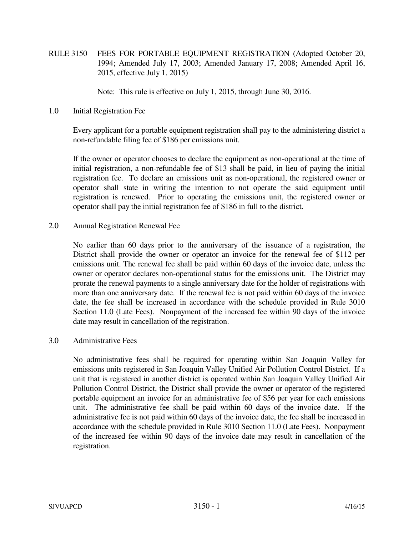RULE 3150 FEES FOR PORTABLE EQUIPMENT REGISTRATION (Adopted October 20, 1994; Amended July 17, 2003; Amended January 17, 2008; Amended April 16, 2015, effective July 1, 2015)

Note: This rule is effective on July 1, 2015, through June 30, 2016.

1.0 Initial Registration Fee

 Every applicant for a portable equipment registration shall pay to the administering district a non-refundable filing fee of \$186 per emissions unit.

 If the owner or operator chooses to declare the equipment as non-operational at the time of initial registration, a non-refundable fee of \$13 shall be paid, in lieu of paying the initial registration fee. To declare an emissions unit as non-operational, the registered owner or operator shall state in writing the intention to not operate the said equipment until registration is renewed. Prior to operating the emissions unit, the registered owner or operator shall pay the initial registration fee of \$186 in full to the district.

2.0 Annual Registration Renewal Fee

 No earlier than 60 days prior to the anniversary of the issuance of a registration, the District shall provide the owner or operator an invoice for the renewal fee of \$112 per emissions unit. The renewal fee shall be paid within 60 days of the invoice date, unless the owner or operator declares non-operational status for the emissions unit. The District may prorate the renewal payments to a single anniversary date for the holder of registrations with more than one anniversary date. If the renewal fee is not paid within 60 days of the invoice date, the fee shall be increased in accordance with the schedule provided in Rule 3010 Section 11.0 (Late Fees). Nonpayment of the increased fee within 90 days of the invoice date may result in cancellation of the registration.

## 3.0 Administrative Fees

 No administrative fees shall be required for operating within San Joaquin Valley for emissions units registered in San Joaquin Valley Unified Air Pollution Control District. If a unit that is registered in another district is operated within San Joaquin Valley Unified Air Pollution Control District, the District shall provide the owner or operator of the registered portable equipment an invoice for an administrative fee of \$56 per year for each emissions unit. The administrative fee shall be paid within 60 days of the invoice date. If the administrative fee is not paid within 60 days of the invoice date, the fee shall be increased in accordance with the schedule provided in Rule 3010 Section 11.0 (Late Fees). Nonpayment of the increased fee within 90 days of the invoice date may result in cancellation of the registration.